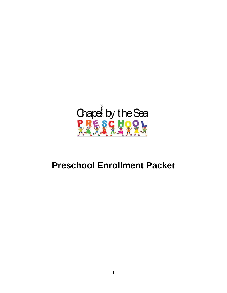

# **Preschool Enrollment Packet**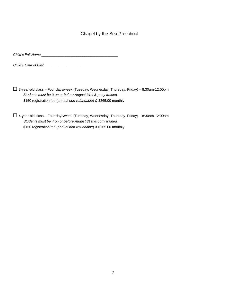### Chapel by the Sea Preschool

*Child's Full Name \_\_\_\_\_\_\_\_\_\_\_\_\_\_\_\_\_\_\_\_\_\_\_\_\_\_\_\_\_\_\_\_\_\_\_\_\_\_\_* 

*Child's Date of Birth \_\_\_\_\_\_\_\_\_\_\_\_\_\_\_\_\_\_* 

☐ 3-year-old class – Four days/week (Tuesday, Wednesday, Thursday, Friday) – 8:30am-12:00pm *Students must be 3 on or before August 31st & potty trained.*  \$150 registration fee (annual *non-refundable*) & \$265.00 monthly

☐ 4-year-old class – Four days/week (Tuesday, Wednesday, Thursday, Friday) – 8:30am-12:00pm *Students must be 4 on or before August 31st & potty trained.*  \$150 registration fee (annual *non-refundable*) & \$265.00 monthly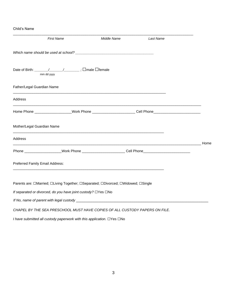#### Child's Name

| <b>First Name</b>                                                                                              | Middle Name | Last Name |      |
|----------------------------------------------------------------------------------------------------------------|-------------|-----------|------|
|                                                                                                                |             |           |      |
| mm dd yyyy                                                                                                     |             |           |      |
| Father/Legal Guardian Name                                                                                     |             |           |      |
| Address                                                                                                        |             |           |      |
| Home Phone ____________________Work Phone _________________________Cell Phone_________________________________ |             |           |      |
| Mother/Legal Guardian Name                                                                                     |             |           |      |
| Address                                                                                                        |             |           | Home |
| Phone ___________________Work Phone ________________________Cell Phone _____________________________           |             |           |      |
| Preferred Family Email Address:                                                                                |             |           |      |
| Parents are: □Married; □Living Together; □Separated; □Divorced; □Widowed; □Single                              |             |           |      |
| If separated or divorced, do you have joint custody? □Yes □No                                                  |             |           |      |
| If No, name of parent with legal custody ____________                                                          |             |           |      |

*CHAPEL BY THE SEA PRESCHOOL MUST HAVE COPIES OF ALL CUSTODY PAPERS ON FILE.* 

*I have submitted all custody paperwork with this application.* □Yes □No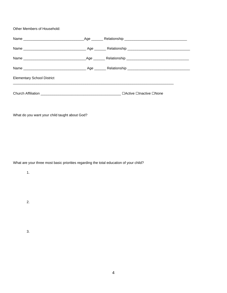Other Members of Household:

| <b>Elementary School District</b> |  |
|-----------------------------------|--|
|                                   |  |

What do you want your child taught about God?

What are your three most basic priorities regarding the total education of your child?

1.

2.

3.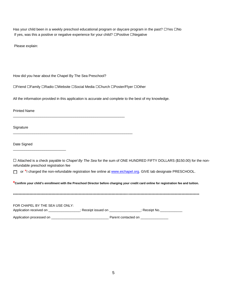Has your child been in a weekly preschool educational program or daycare program in the past? □Yes □No If yes, was this a positive or negative experience for your child? ☐Positive ☐Negative

Please explain:

How did you hear about the Chapel By The Sea Preschool?

☐Friend ☐Family ☐Radio ☐Website ☐Social Media ☐Church ☐Poster/Flyer ☐Other

\_\_\_\_\_\_\_\_\_\_\_\_\_\_\_\_\_\_\_\_\_\_\_\_\_\_\_\_\_\_\_\_\_\_\_\_\_\_\_\_\_\_\_\_\_\_\_\_\_\_\_\_\_\_\_\_\_

\_\_\_\_\_\_\_\_\_\_\_\_\_\_\_\_\_\_\_\_\_\_\_\_\_\_\_\_\_\_\_\_\_\_\_\_\_\_\_\_\_\_\_\_\_\_\_\_\_\_\_\_\_\_\_\_\_\_\_\_\_

All the information provided in this application is accurate and complete to the best of my knowledge.

Printed Name

**Signature** 

Date Signed

\_\_\_\_\_\_\_\_\_\_\_\_\_\_\_\_\_\_\_\_\_\_\_\_\_\_\_

☐ Attached is a check payable to *Chapel By The Sea* for the sum of ONE HUNDRED FIFTY DOLLARS (\$150.00) for the nonrefundable preschool registration fee

□ or \*I charged the non-refundable registration fee online at [www.eichapel.org.](http://www.eichapel.org/) GIVE tab designate PRESCHOOL.

**\*Confirm your child's enrollment with the Preschool Director before charging your credit card online for registration fee and tuition.**

\*\*\*\*\*\*\*\*\*\*\*\*\*\*\*\*\*\*\*\*\*\*\*\*\*\*\*\*\*\*\*\*\*\*\*\*\*\*\*\*\*\*\*\*\*\*\*\*\*\*\*\*\*\*\*\*\*\*\*\*\*\*\*\*\*\*\*\*\*\*\*\*\*\*\*\*\*\*\*\*\*\*\*\*\*\*\*\*\*\*\*\*\*\*\*\*\*\*\*\*\*\*\*\*\*\*\*\*\*\*\*\*\*\*\*\*\*\*\*\*\*\*\*\*\*\*\*\*\*\*\*\*\*\*\*\*

| FOR CHAPEL BY THE SEA USE ONLY: |                     |               |
|---------------------------------|---------------------|---------------|
| Application received on         | : Receipt issued on | : Receipt No. |
| Application processed on        | Parent contacted on |               |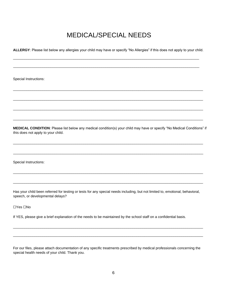## MEDICAL/SPECIAL NEEDS

**ALLERGY**: Please list below any allergies your child may have or specify "No Allergies" if this does not apply to your child.

\_\_\_\_\_\_\_\_\_\_\_\_\_\_\_\_\_\_\_\_\_\_\_\_\_\_\_\_\_\_\_\_\_\_\_\_\_\_\_\_\_\_\_\_\_\_\_\_\_\_\_\_\_\_\_\_\_\_\_\_\_\_\_\_\_\_\_\_\_\_\_\_\_\_\_\_\_\_\_\_\_\_\_\_\_\_\_\_\_\_\_\_\_\_\_

\_\_\_\_\_\_\_\_\_\_\_\_\_\_\_\_\_\_\_\_\_\_\_\_\_\_\_\_\_\_\_\_\_\_\_\_\_\_\_\_\_\_\_\_\_\_\_\_\_\_\_\_\_\_\_\_\_\_\_\_\_\_\_\_\_\_\_\_\_\_\_\_\_\_\_\_\_\_\_\_\_\_\_\_\_\_\_\_\_\_\_\_\_\_\_

 $\overline{\phantom{a}}$  , and the set of the set of the set of the set of the set of the set of the set of the set of the set of the set of the set of the set of the set of the set of the set of the set of the set of the set of the s

 $\overline{\phantom{a}}$  , and the contribution of the contribution of the contribution of the contribution of the contribution of the contribution of the contribution of the contribution of the contribution of the contribution of the

 $\overline{\phantom{a}}$  , and the contribution of the contribution of the contribution of the contribution of the contribution of the contribution of the contribution of the contribution of the contribution of the contribution of the

 $\overline{\phantom{a}}$  , and the contribution of the contribution of the contribution of the contribution of the contribution of the contribution of the contribution of the contribution of the contribution of the contribution of the

Special Instructions:

**MEDICAL CONDITION**: Please list below any medical condition(s) your child may have or specify "No Medical Conditions" if this does not apply to your child.

 $\overline{\phantom{a}}$  , and the contribution of the contribution of the contribution of the contribution of the contribution of the contribution of the contribution of the contribution of the contribution of the contribution of the

 $\overline{\phantom{a}}$  , and the contribution of the contribution of the contribution of the contribution of the contribution of the contribution of the contribution of the contribution of the contribution of the contribution of the

 $\overline{\phantom{a}}$  , and the contribution of the contribution of the contribution of the contribution of the contribution of the contribution of the contribution of the contribution of the contribution of the contribution of the

 $\overline{\phantom{a}}$  , and the contribution of the contribution of the contribution of the contribution of the contribution of the contribution of the contribution of the contribution of the contribution of the contribution of the

Special Instructions:

Has your child been referred for testing or tests for any special needs including, but not limited to, emotional, behavioral, speech, or developmental delays?

☐Yes ☐No

If YES, please give a brief explanation of the needs to be maintained by the school staff on a confidential basis.

For our files, please attach documentation of any specific treatments prescribed by medical professionals concerning the special health needs of your child. Thank you.

 $\overline{\phantom{a}}$  , and the contribution of the contribution of the contribution of the contribution of the contribution of the contribution of the contribution of the contribution of the contribution of the contribution of the

 $\overline{\phantom{a}}$  , and the contribution of the contribution of the contribution of the contribution of the contribution of the contribution of the contribution of the contribution of the contribution of the contribution of the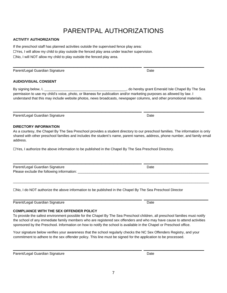# PARENTPAL AUTHORIZATIONS

#### **ACTIVITY AUTHORIZATION**

If the preschool staff has planned activities outside the supervised fence play area:  $\square$ Yes, I will allow my child to play outside the fenced play area under teacher supervision.  $\square$ No, I will NOT allow my child to play outside the fenced play area.

Parent/Legal Guardian Signature **Date of American System** Date Date

#### **AUDIO/VISUAL CONSENT**

By signing below, I, \_\_\_\_\_\_\_\_\_\_\_\_\_\_\_\_\_\_\_\_\_\_\_\_\_\_\_\_\_\_\_\_\_\_\_\_\_\_\_\_\_\_, do hereby grant Emerald Isle Chapel By The Sea permission to use my child's voice, photo, or likeness for publication and/or marketing purposes as allowed by law. I understand that this may include website photos, news broadcasts, newspaper columns, and other promotional materials.

 $\overline{\phantom{a}}$  , and the contract of the contract of the contract of the contract of the contract of the contract of the contract of the contract of the contract of the contract of the contract of the contract of the contrac

 $\frac{1}{2}$  , and the contract of the contract of the contract of the contract of the contract of the contract of the contract of the contract of the contract of the contract of the contract of the contract of the contract

Parent/Legal Guardian Signature **Date** Date Date Date Date

#### **DIRECTORY INFORMATION**

As a courtesy, the Chapel By The Sea Preschool provides a student directory to our preschool families. The information is only shared with other preschool families and includes the student's name, parent names, address, phone number, and family email address.

☐Yes, I authorize the above information to be published in the Chapel By The Sea Preschool Directory.

| Parent/Legal Guardian Signature<br>Please exclude the following information: | Date |  |
|------------------------------------------------------------------------------|------|--|

☐No, I do NOT authorize the above information to be published in the Chapel By The Sea Preschool Director

Parent/Legal Guardian Signature **Date** Date Date Date Date Date

### **COMPLIANCE WITH THE SEX OFFENDER POLICY**

To provide the safest environment possible for the Chapel By The Sea Preschool children, all preschool families must notify the school of any immediate family members who are registered sex offenders and who may have cause to attend activities sponsored by the Preschool. Information on how to notify the school is available in the Chapel or Preschool office.

Your signature below verifies your awareness that the school regularly checks the NC Sex Offenders Registry, and your commitment to adhere to the sex offender policy. This line must be signed for the application to be processed.

\_\_\_\_\_\_\_\_\_\_\_\_\_\_\_\_\_\_\_\_\_\_\_\_\_\_\_\_\_\_\_\_\_\_\_\_\_\_\_\_\_\_\_\_\_\_\_\_\_\_\_\_\_\_\_\_\_\_\_\_\_\_\_\_\_\_\_\_\_\_\_\_\_\_\_\_\_\_\_\_\_\_\_\_\_\_\_\_\_\_\_\_\_\_\_\_\_\_\_\_

 $\frac{1}{2}$  , and the contract of the contract of the contract of the contract of the contract of the contract of the contract of the contract of the contract of the contract of the contract of the contract of the contract

 $\overline{\phantom{a}}$  , and the contract of the contract of the contract of the contract of the contract of the contract of the contract of the contract of the contract of the contract of the contract of the contract of the contrac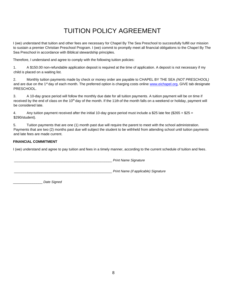# TUITION POLICY AGREEMENT

I (we) understand that tuition and other fees are necessary for Chapel By The Sea Preschool to successfully fulfill our mission to sustain a premier Christian Preschool Program. I (we) commit to promptly meet all financial obligations to the Chapel By The Sea Preschool in accordance with Biblical stewardship principles.

Therefore, I understand and agree to comply with the following tuition policies:

1. A \$150.00 non-refundable application deposit is required at the time of application. A deposit is not necessary if my child is placed on a waiting list.

2. Monthly tuition payments made by check or money order are payable to CHAPEL BY THE SEA *(NOT PRESCHOOL)*  and are due on the 1<sup>st</sup> day of each month. The preferred option is charging costs online [www.eichapel.org,](http://www.eichapel.org/) GIVE tab designate PRESCHOOL.

3. A 10-day grace period will follow the monthly due date for all tuition payments. A tuition payment will be on time if received by the end of class on the 10<sup>th</sup> day of the month. If the 11th of the month falls on a weekend or holiday, payment will be considered late.

4. Any tuition payment received after the initial 10-day grace period must include a \$25 late fee (\$265 + \$25 = \$290/student).

5. Tuition payments that are one (1) month past due will require the parent to meet with the school administration. Payments that are two (2) months past due will subject the student to be withheld from attending school until tuition payments and late fees are made current.

#### **FINANCIAL COMMITMENT**

I (we) understand and agree to pay tuition and fees in a timely manner, according to the current schedule of tuition and fees.

\_\_\_\_\_\_\_\_\_\_\_\_\_\_\_\_\_\_\_\_\_\_\_\_\_\_\_\_\_\_\_\_\_\_\_\_\_\_\_\_\_\_\_\_\_\_\_\_\_\_ *Print Name Signature* 

\_\_\_\_\_\_\_\_\_\_\_\_\_\_\_\_\_\_\_\_\_\_\_\_\_\_\_\_\_\_\_\_\_\_\_\_\_\_\_\_\_\_\_\_\_\_\_\_\_\_ *Print Name (if applicable) Signature* 

\_\_\_\_\_\_\_\_\_\_\_\_\_\_\_ *Date Signed*